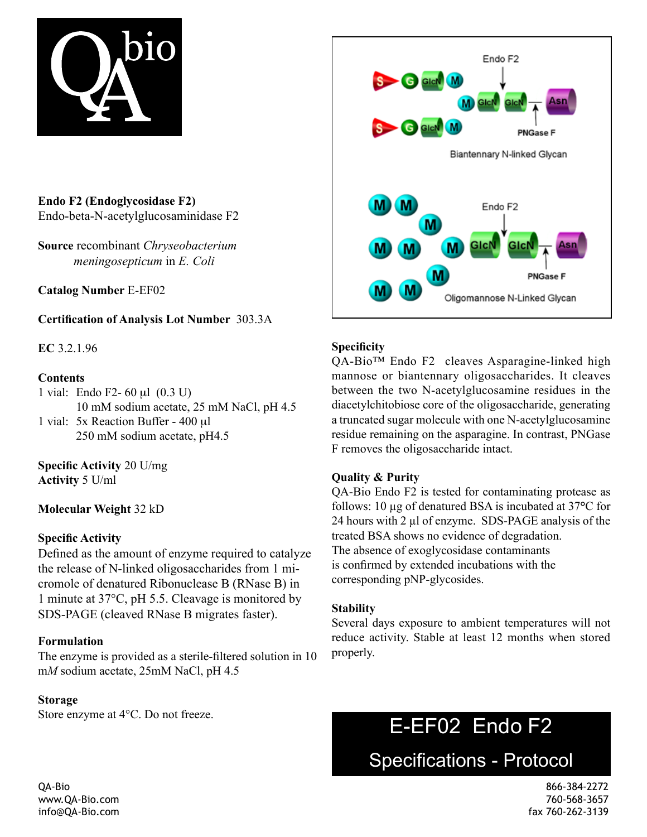

**Endo F2 (Endoglycosidase F2)**  Endo-beta-N-acetylglucosaminidase F2

**Source** recombinant *Chryseobacterium meningosepticum* in *E. Coli*

**Catalog Number** E-EF02

**Certification of Analysis Lot Number** 303.3A

**EC** 3.2.1.96

## **Contents**

- 1 vial: Endo F2- 60 µl (0.3 U) 10 mM sodium acetate, 25 mM NaCl, pH 4.5
- 1 vial: 5x Reaction Buffer 400 µl 250 mM sodium acetate, pH4.5

**Specific Activity** 20 U/mg **Activity** 5 U/ml

**Molecular Weight** 32 kD

# **Specific Activity**

Defined as the amount of enzyme required to catalyze the release of N-linked oligosaccharides from 1 micromole of denatured Ribonuclease B (RNase B) in 1 minute at 37°C, pH 5.5. Cleavage is monitored by SDS-PAGE (cleaved RNase B migrates faster).

#### **Formulation**

The enzyme is provided as a sterile-filtered solution in 10 m*M* sodium acetate, 25mM NaCl, pH 4.5

#### **Storage**

Store enzyme at 4°C. Do not freeze.



# **Specificity**

QA-Bio™ Endo F2 cleaves Asparagine-linked high mannose or biantennary oligosaccharides. It cleaves between the two N-acetylglucosamine residues in the diacetylchitobiose core of the oligosaccharide, generating a truncated sugar molecule with one N-acetylglucosamine residue remaining on the asparagine. In contrast, PNGase F removes the oligosaccharide intact.

# **Quality & Purity**

QA-Bio Endo F2 is tested for contaminating protease as follows: 10 µg of denatured BSA is incubated at 37**°**C for 24 hours with 2 µl of enzyme. SDS-PAGE analysis of the treated BSA shows no evidence of degradation. The absence of exoglycosidase contaminants is confirmed by extended incubations with the corresponding pNP-glycosides.

#### **Stability**

Several days exposure to ambient temperatures will not reduce activity. Stable at least 12 months when stored properly.

# E-EF02 Endo F2

Specifications - Protocol

QA-Bio 866-384-2272 www.QA-Bio.com 760-568-3657 info@QA-Bio.com fax 760-262-3139